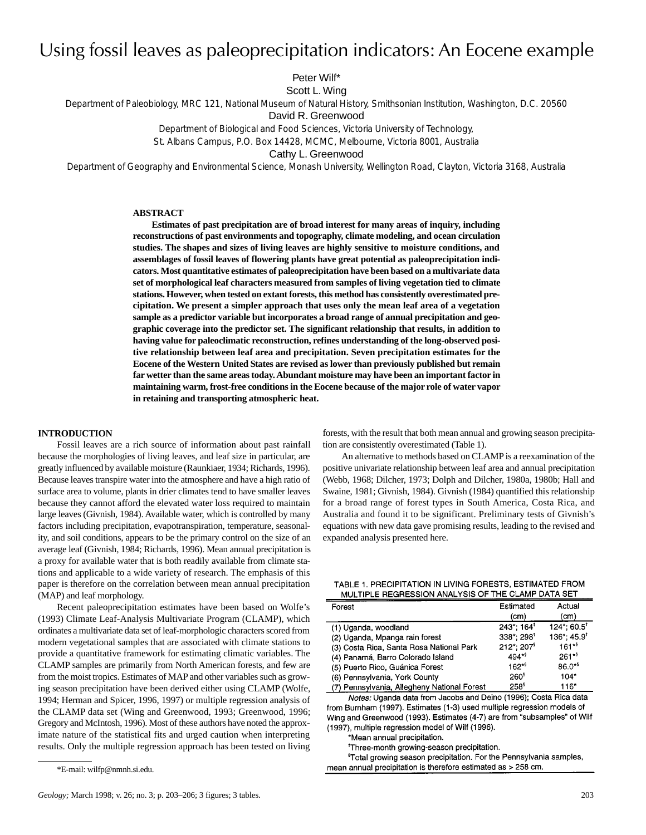# Using fossil leaves as paleoprecipitation indicators: An Eocene example

Peter Wilf\*

Scott L.Wing

Department of Paleobiology, MRC 121, National Museum of Natural History, Smithsonian Institution, Washington, D.C. 20560

David R. Greenwood

Department of Biological and Food Sciences, Victoria University of Technology,

St. Albans Campus, P.O. Box 14428, MCMC, Melbourne, Victoria 8001, Australia

Cathy L. Greenwood

Department of Geography and Environmental Science, Monash University, Wellington Road, Clayton, Victoria 3168, Australia

# **ABSTRACT**

**Estimates of past precipitation are of broad interest for many areas of inquiry, including reconstructions of past environments and topography, climate modeling, and ocean circulation studies. The shapes and sizes of living leaves are highly sensitive to moisture conditions, and assemblages of fossil leaves of flowering plants have great potential as paleoprecipitation indicators. Most quantitative estimates of paleoprecipitation have been based on a multivariate data set of morphological leaf characters measured from samples of living vegetation tied to climate stations. However, when tested on extant forests, this method has consistently overestimated precipitation. We present a simpler approach that uses only the mean leaf area of a vegetation sample as a predictor variable but incorporates a broad range of annual precipitation and geographic coverage into the predictor set. The significant relationship that results, in addition to having value for paleoclimatic reconstruction, refines understanding of the long-observed positive relationship between leaf area and precipitation. Seven precipitation estimates for the Eocene of the Western United States are revised as lower than previously published but remain far wetter than the same areas today. Abundant moisture may have been an important factor in maintaining warm, frost-free conditions in the Eocene because of the major role of water vapor in retaining and transporting atmospheric heat.**

## **INTRODUCTION**

Fossil leaves are a rich source of information about past rainfall because the morphologies of living leaves, and leaf size in particular, are greatly influenced by available moisture (Raunkiaer, 1934; Richards, 1996). Because leaves transpire water into the atmosphere and have a high ratio of surface area to volume, plants in drier climates tend to have smaller leaves because they cannot afford the elevated water loss required to maintain large leaves (Givnish, 1984). Available water, which is controlled by many factors including precipitation, evapotranspiration, temperature, seasonality, and soil conditions, appears to be the primary control on the size of an average leaf (Givnish, 1984; Richards, 1996). Mean annual precipitation is a proxy for available water that is both readily available from climate stations and applicable to a wide variety of research. The emphasis of this paper is therefore on the correlation between mean annual precipitation (MAP) and leaf morphology.

Recent paleoprecipitation estimates have been based on Wolfe's (1993) Climate Leaf-Analysis Multivariate Program (CLAMP), which ordinates a multivariate data set of leaf-morphologic characters scored from modern vegetational samples that are associated with climate stations to provide a quantitative framework for estimating climatic variables. The CLAMP samples are primarily from North American forests, and few are from the moist tropics. Estimates of MAP and other variables such as growing season precipitation have been derived either using CLAMP (Wolfe, 1994; Herman and Spicer, 1996, 1997) or multiple regression analysis of the CLAMP data set (Wing and Greenwood, 1993; Greenwood, 1996; Gregory and McIntosh, 1996). Most of these authors have noted the approximate nature of the statistical fits and urged caution when interpreting results. Only the multiple regression approach has been tested on living

forests, with the result that both mean annual and growing season precipitation are consistently overestimated (Table 1).

An alternative to methods based on CLAMP is a reexamination of the positive univariate relationship between leaf area and annual precipitation (Webb, 1968; Dilcher, 1973; Dolph and Dilcher, 1980a, 1980b; Hall and Swaine, 1981; Givnish, 1984). Givnish (1984) quantified this relationship for a broad range of forest types in South America, Costa Rica, and Australia and found it to be significant. Preliminary tests of Givnish's equations with new data gave promising results, leading to the revised and expanded analysis presented here.

TABLE 1. PRECIPITATION IN LIVING FORESTS, ESTIMATED FROM MULTIPLE REGRESSION ANALYSIS OF THE CLAMP DATA SET

| Forest                                      | Estimated              | Actual                     |
|---------------------------------------------|------------------------|----------------------------|
|                                             | (cm)                   | (cm)                       |
| (1) Uganda, woodland                        | 243*; 164'             | $124$ *: 60.5 <sup>t</sup> |
| (2) Uganda, Mpanga rain forest              | 338*; 298*             | 136*; 45.9 <sup>t</sup>    |
| (3) Costa Rica, Santa Rosa National Park    | 212*: 207 <sup>9</sup> | $161^{+9}$                 |
| (4) Panamá, Barro Colorado Island           | $494**$                | $261**$                    |
| (5) Puerto Rico, Guánica Forest             | $162**$                | 86.0**                     |
| (6) Pennsylvania, York County               | 260 <sup>6</sup>       | $104*$                     |
| (7) Pennsylvania, Allegheny National Forest | $258^s$                | $116*$                     |

Notes: Uganda data from Jacobs and Deino (1996); Costa Rica data from Burnham (1997). Estimates (1-3) used multiple regression models of Wing and Greenwood (1993). Estimates (4-7) are from "subsamples" of Wilf (1997), multiple regression model of Wilf (1996).

\*Mean annual precipitation.

\*Three-month growing-season precipitation.

<sup>§</sup>Total growing season precipitation. For the Pennsylvania samples, mean annual precipitation is therefore estimated as > 258 cm.

<sup>\*</sup>E-mail: wilfp@nmnh.si.edu.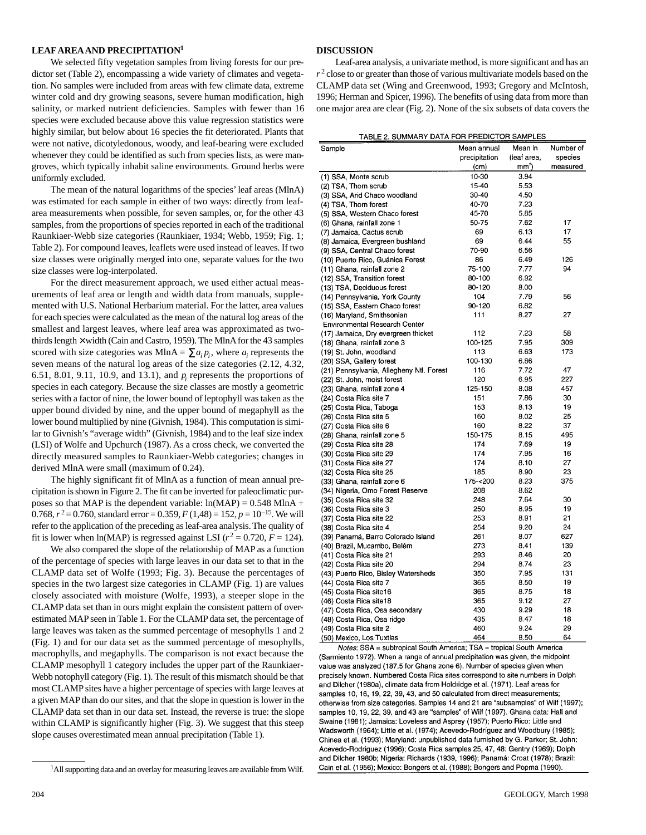## **LEAFAREAAND PRECIPITATION1**

We selected fifty vegetation samples from living forests for our predictor set (Table 2), encompassing a wide variety of climates and vegetation. No samples were included from areas with few climate data, extreme winter cold and dry growing seasons, severe human modification, high salinity, or marked nutrient deficiencies. Samples with fewer than 16 species were excluded because above this value regression statistics were highly similar, but below about 16 species the fit deteriorated. Plants that were not native, dicotyledonous, woody, and leaf-bearing were excluded whenever they could be identified as such from species lists, as were mangroves, which typically inhabit saline environments. Ground herbs were uniformly excluded.

The mean of the natural logarithms of the species'leaf areas (MlnA) was estimated for each sample in either of two ways: directly from leafarea measurements when possible, for seven samples, or, for the other 43 samples, from the proportions of species reported in each of the traditional Raunkiaer-Webb size categories (Raunkiaer, 1934; Webb, 1959; Fig. 1; Table 2). For compound leaves, leaflets were used instead of leaves. If two size classes were originally merged into one, separate values for the two size classes were log-interpolated.

For the direct measurement approach, we used either actual measurements of leaf area or length and width data from manuals, supplemented with U.S. National Herbarium material. For the latter, area values for each species were calculated as the mean of the natural log areas of the smallest and largest leaves, where leaf area was approximated as twothirds length  $\times$  width (Cain and Castro, 1959). The MlnA for the 43 samples scored with size categories was MlnA =  $\sum a_i p_i$ , where  $a_i$  represents the seven means of the natural log areas of the size categories (2.12, 4.32, 6.51, 8.01, 9.11, 10.9, and 13.1), and *pi* represents the proportions of species in each category. Because the size classes are mostly a geometric series with a factor of nine, the lower bound of leptophyll was taken as the upper bound divided by nine, and the upper bound of megaphyll as the lower bound multiplied by nine (Givnish, 1984). This computation is similar to Givnish's "average width" (Givnish, 1984) and to the leaf size index (LSI) of Wolfe and Upchurch (1987). As a cross check, we converted the directly measured samples to Raunkiaer-Webb categories; changes in derived MlnA were small (maximum of 0.24).

The highly significant fit of MlnA as a function of mean annual precipitation is shown in Figure 2. The fit can be inverted for paleoclimatic purposes so that MAP is the dependent variable:  $ln(MAP) = 0.548 MlnA +$ 0.768,  $r^2 = 0.760$ , standard error = 0.359,  $F(1,48) = 152$ ,  $p = 10^{-15}$ . We will refer to the application of the preceding as leaf-area analysis. The quality of fit is lower when ln(MAP) is regressed against LSI ( $r^2 = 0.720$ ,  $F = 124$ ).

We also compared the slope of the relationship of MAP as a function of the percentage of species with large leaves in our data set to that in the CLAMP data set of Wolfe (1993; Fig. 3). Because the percentages of species in the two largest size categories in CLAMP (Fig. 1) are values closely associated with moisture (Wolfe, 1993), a steeper slope in the CLAMP data set than in ours might explain the consistent pattern of overestimated MAP seen in Table 1. For the CLAMP data set, the percentage of large leaves was taken as the summed percentage of mesophylls 1 and 2 (Fig. 1) and for our data set as the summed percentage of mesophylls, macrophylls, and megaphylls. The comparison is not exact because the CLAMP mesophyll 1 category includes the upper part of the Raunkiaer-Webb notophyll category (Fig. 1). The result of this mismatch should be that most CLAMP sites have a higher percentage of species with large leaves at a given MAP than do our sites, and that the slope in question is lower in the CLAMP data set than in our data set. Instead, the reverse is true: the slope within CLAMP is significantly higher (Fig. 3). We suggest that this steep slope causes overestimated mean annual precipitation (Table 1).

## **DISCUSSION**

Leaf-area analysis, a univariate method, is more significant and has an  $r<sup>2</sup>$  close to or greater than those of various multivariate models based on the CLAMP data set (Wing and Greenwood, 1993; Gregory and McIntosh, 1996; Herman and Spicer, 1996). The benefits of using data from more than one major area are clear (Fig. 2). None of the six subsets of data covers the

|  | TABLE 2. SUMMARY DATA FOR PREDICTOR SAMPLES |  |
|--|---------------------------------------------|--|
|  |                                             |  |

| Sample                                   | Mean annual   | Mean In     | Number of |
|------------------------------------------|---------------|-------------|-----------|
|                                          | precipitation | (leaf area, | species   |
|                                          | (cm)          | $mm2$ )     | measured  |
| (1) SSA, Monte scrub                     | 10-30         | 394         |           |
| (2) TSA, Thorn scrub                     | 15-40         | 5.53        |           |
| (3) SSA, Arid Chaco woodland             | 30-40         | 4.50        |           |
| (4) TSA, Thorn forest                    | 40-70         | 7.23        |           |
| (5) SSA, Western Chaco forest            | 45-70         | 5.85        |           |
| (6) Ghana, rainfall zone 1               | 50-75         | 7.62        | 17        |
| (7) Jamaica, Cactus scrub                | 69            | 6.13        | 17        |
| (8) Jamaica, Evergreen bushland          | 69            | 6.44        | 55        |
| (9) SSA, Central Chaco forest            | 70-90         | 6.56        |           |
| (10) Puerto Rico, Guánica Forest         | 86            | 6.49        | 126       |
| (11) Ghana, rainfall zone 2              | 75-100        | 7.77        | 94        |
| (12) SSA, Transition forest              | 80-100        | 6.92        |           |
| (13) TSA, Deciduous forest               | 80-120        | 8.00        |           |
| (14) Pennsylvania, York County           | 104           | 7.79        | 56        |
|                                          | 90-120        | 6.82        |           |
| (15) SSA, Eastern Chaco forest           |               |             |           |
| (16) Maryland, Smithsonian               | 111           | 8.27        | 27        |
| Environmental Research Center            | 112           | 7.23        | 58        |
| (17) Jamaica, Dry evergreen thicket      |               |             |           |
| (18) Ghana, rainfall zone 3              | 100-125       | 7.95        | 309       |
| (19) St. John, woodland                  | 113           | 6.63        | 173       |
| (20) SSA, Gallery forest                 | 100-130       | 6.86        |           |
| (21) Pennsylvania, Allegheny Ntl. Forest | 116           | 7.72        | 47        |
| (22) St. John, moist forest              | 120           | 6.95        | 227       |
| (23) Ghana, rainfall zone 4              | 125-150       | 8.08        | 457       |
| (24) Costa Rica site 7                   | 151           | 7.86        | 30        |
| (25) Costa Rica, Taboga                  | 153           | 8.13        | 19        |
| (26) Costa Rica site 5                   | 160           | 8.02        | 25        |
| (27) Costa Rica site 6                   | 160           | 8.22        | 37        |
| (28) Ghana, rainfall zone 5              | 150-175       | 8.15        | 495       |
| (29) Costa Rica site 28                  | 174           | 7.69        | 19        |
| (30) Costa Rica site 29                  | 174           | 7.95        | 16        |
| (31) Costa Rica site 27                  | 174           | 8.10        | 27        |
| (32) Costa Rica site 25                  | 185           | 8.90        | 23        |
| (33) Ghana, rainfall zone 6              | 175-<200      | 8.23        | 375       |
| (34) Nigeria, Omo Forest Reserve         | 208           | 8.62        |           |
| (35) Costa Rica site 32                  | 248           | 7.64        | 30        |
| (36) Costa Rica site 3                   | 250           | 8.95        | 19        |
| (37) Costa Rica site 22                  | 253           | 8.91        | 21        |
| (38) Costa Rica site 4                   | 254           | 9.20        | 24        |
| (39) Panamá, Barro Colorado Island       | 261           | 8.07        | 627       |
| (40) Brazil, Mucambo, Belém              | 273           | 8.41        | 139       |
| (41) Costa Rica site 21                  | 293           | 8.46        | 20        |
| (42) Costa Rica site 20                  | 294           | 8.74        | 23        |
| (43) Puerto Rico, Bisley Watersheds      | 350           | 7.95        | 131       |
| (44) Costa Rica site 7                   | 365           | 8.50        | 19        |
| (45) Costa Rica site16                   | 365           | 8.75        | 18        |
| (46) Costa Rica site18                   | 365           | 9.12        | 27        |
| (47) Costa Rica, Osa secondary           | 430           | 9.29        | 18        |
| (48) Costa Rica, Osa ridge               | 435           | 8.47        | 18        |
| (49) Costa Rica site 2                   | 460           | 9.24        | 29        |
| (50) Mexico. Los Tuxtlas                 | 464           | 8.50        | 64        |

Notes: SSA = subtropical South America; TSA = tropical South America (Sarmiento 1972). When a range of annual precipitation was given, the midpoint value was analyzed (187.5 for Ghana zone 6). Number of species given when precisely known. Numbered Costa Rica sites correspond to site numbers in Dolph and Dilcher (1980a), climate data from Holdridge et al. (1971). Leaf areas for samples 10, 16, 19, 22, 39, 43, and 50 calculated from direct measurements: otherwise from size categories. Samples 14 and 21 are "subsamples" of Wilf (1997); samples 10, 19, 22, 39, and 43 are "samples" of Wilf (1997). Ghana data: Hall and Swaine (1981); Jamaica: Loveless and Asprey (1957); Puerto Rico: Little and Wadsworth (1964); Little et al. (1974); Acevedo-Rodríguez and Woodbury (1985); Chinea et al. (1993); Maryland: unpublished data furnished by G. Parker; St. John: Acevedo-Rodríguez (1996); Costa Rica samples 25, 47, 48: Gentry (1969); Dolph and Dilcher 1980b; Nigeria: Richards (1939, 1996); Panamá: Croat (1978); Brazil: Cain et al. (1956); Mexico: Bongers et al. (1988); Bongers and Popma (1990).

<sup>1</sup>All supporting data and an overlay for measuring leaves are available from Wilf.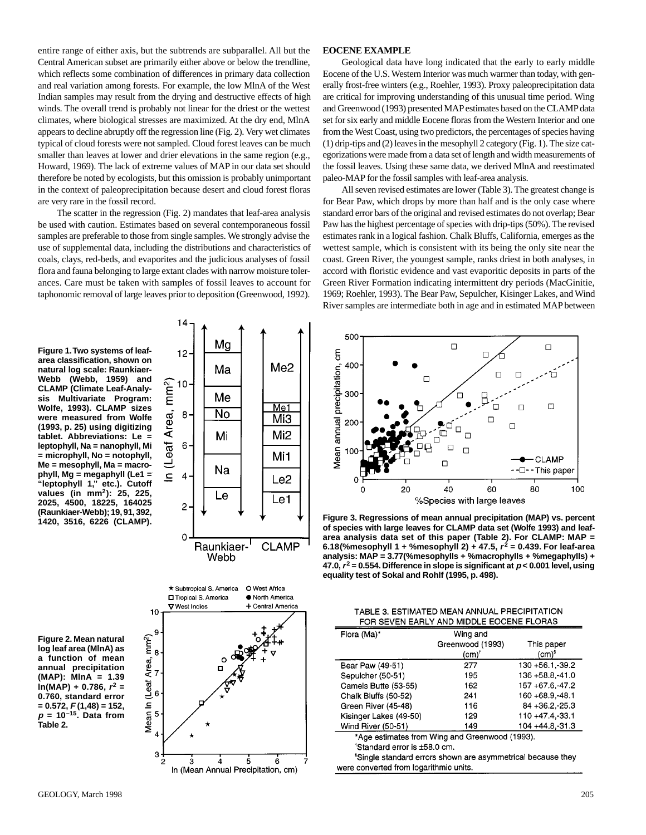entire range of either axis, but the subtrends are subparallel. All but the Central American subset are primarily either above or below the trendline, which reflects some combination of differences in primary data collection and real variation among forests. For example, the low MlnA of the West Indian samples may result from the drying and destructive effects of high winds. The overall trend is probably not linear for the driest or the wettest climates, where biological stresses are maximized. At the dry end, MlnA appears to decline abruptly off the regression line (Fig. 2). Very wet climates typical of cloud forests were not sampled. Cloud forest leaves can be much smaller than leaves at lower and drier elevations in the same region (e.g., Howard, 1969). The lack of extreme values of MAP in our data set should therefore be noted by ecologists, but this omission is probably unimportant in the context of paleoprecipitation because desert and cloud forest floras are very rare in the fossil record.

The scatter in the regression (Fig. 2) mandates that leaf-area analysis be used with caution. Estimates based on several contemporaneous fossil samples are preferable to those from single samples. We strongly advise the use of supplemental data, including the distributions and characteristics of coals, clays, red-beds, and evaporites and the judicious analyses of fossil flora and fauna belonging to large extant clades with narrow moisture tolerances. Care must be taken with samples of fossil leaves to account for taphonomic removal of large leaves prior to deposition (Greenwood, 1992).

# **EOCENE EXAMPLE**

Geological data have long indicated that the early to early middle Eocene of the U.S. Western Interior was much warmer than today, with generally frost-free winters (e.g., Roehler, 1993). Proxy paleoprecipitation data are critical for improving understanding of this unusual time period. Wing and Greenwood (1993) presented MAP estimates based on the CLAMP data set for six early and middle Eocene floras from the Western Interior and one from the West Coast, using two predictors, the percentages of species having (1) drip-tips and (2) leaves in the mesophyll 2 category (Fig. 1). The size categorizations were made from a data set of length and width measurements of the fossil leaves. Using these same data, we derived MlnA and reestimated paleo-MAP for the fossil samples with leaf-area analysis.

All seven revised estimates are lower (Table 3). The greatest change is for Bear Paw, which drops by more than half and is the only case where standard error bars of the original and revised estimates do not overlap; Bear Paw has the highest percentage of species with drip-tips (50%). The revised estimates rank in a logical fashion. Chalk Bluffs, California, emerges as the wettest sample, which is consistent with its being the only site near the coast. Green River, the youngest sample, ranks driest in both analyses, in accord with floristic evidence and vast evaporitic deposits in parts of the Green River Formation indicating intermittent dry periods (MacGinitie, 1969; Roehler, 1993). The Bear Paw, Sepulcher, Kisinger Lakes, and Wind River samples are intermediate both in age and in estimated MAPbetween

**Figure 1.Two systems of leafarea classification, shown on natural log scale: Raunkiaer-Webb (Webb, 1959) and CLAMP (Climate Leaf-Analysis Multivariate Program: Wolfe, 1993). CLAMP sizes were measured from Wolfe (1993, p. 25) using digitizing tablet. Abbreviations: Le = leptophyll, Na = nanophyll, Mi = microphyll, No = notophyll, Me = mesophyll, Ma = macrophyll, Mg = megaphyll (Le1 = "leptophyll 1," etc.). Cutoff values (in mm2): 25, 225, 2025, 4500, 18225, 164025 (Raunkiaer-Webb); 19, 91, 392, 1420, 3516, 6226 (CLAMP).**



**Figure 2. Mean natural log leaf area (MlnA) as a function of mean annual precipitation (MAP): MlnA = 1.39 ln(MAP) + 0.786, <sup>r</sup><sup>2</sup> = 0.760, standard error = 0.572, F (1,48) = 152, <sup>p</sup> = 10–15. Data from Table 2.**





**Figure 3. Regressions of mean annual precipitation (MAP) vs. percent of species with large leaves for CLAMP data set (Wolfe 1993) and leafarea analysis data set of this paper (Table 2). For CLAMP: MAP = 6.18(%mesophyll 1 + %mesophyll 2) + 47.5, <sup>r</sup><sup>2</sup> = 0.439. For leaf-area analysis: MAP = 3.77(%mesophylls + %macrophylls + %megaphylls) + 47.0,r<sup>2</sup> = 0.554. Difference in slope is significant at <sup>p</sup> < 0.001 level, using equality test of Sokal and Rohlf (1995, p. 498).**

| Flora (Ma)*                                    | Wing and         |                     |  |  |
|------------------------------------------------|------------------|---------------------|--|--|
|                                                | Greenwood (1993) | This paper          |  |  |
|                                                | (cm)'            | (cm) <sup>s</sup>   |  |  |
| Bear Paw (49-51)                               | 277              | 130 +56.1.-39.2     |  |  |
| Sepulcher (50-51)                              | 195              | $136 + 58.8 - 41.0$ |  |  |
| Camels Butte (53-55)                           | 162              | 157 +67.6, 47.2     |  |  |
| Chalk Bluffs (50-52)                           | 241              | 160 +68.9 - 48.1    |  |  |
| Green River (45-48)                            | 116              | $84 + 36.2 - 25.3$  |  |  |
| Kisinger Lakes (49-50)                         | 129              | 110 +47.4,-33.1     |  |  |
| Wind River (50-51)                             | 149              | 104 +44.8, 31.3     |  |  |
| *Age estimates from Wing and Greenwood (1993). |                  |                     |  |  |

<sup>†</sup>Standard error is ±58.0 cm.

<sup>\$</sup>Single standard errors shown are asymmetrical because they were converted from logarithmic units.